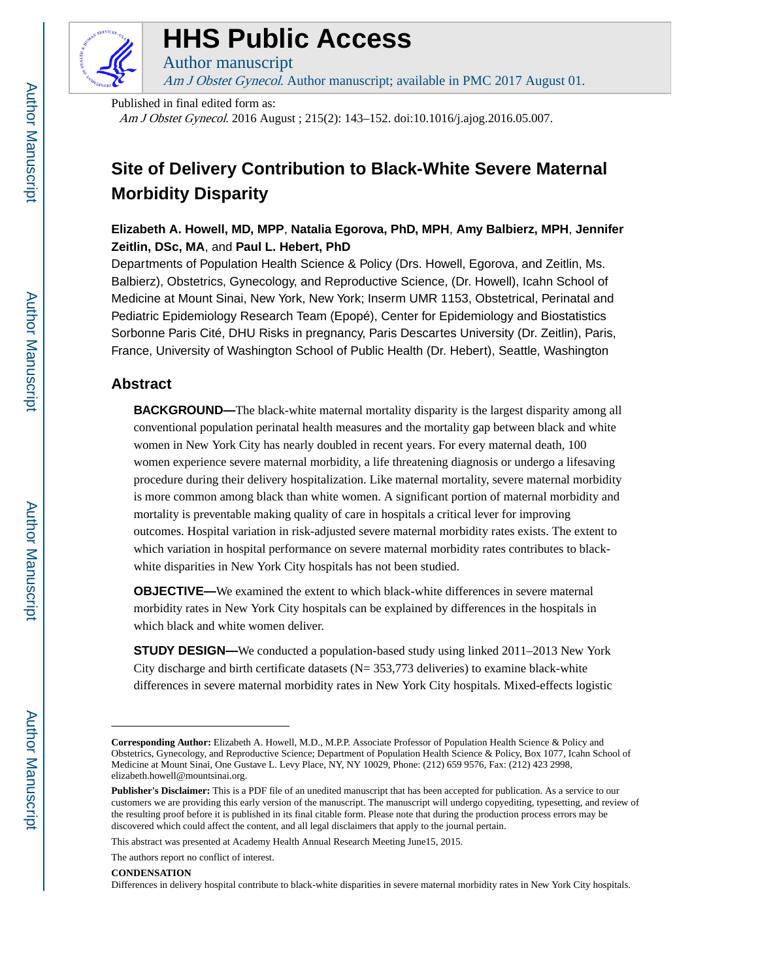

# **HHS Public Access**

Am J Obstet Gynecol. Author manuscript; available in PMC 2017 August 01.

Published in final edited form as:

Author manuscript

Am J Obstet Gynecol. 2016 August ; 215(2): 143–152. doi:10.1016/j.ajog.2016.05.007.

# **Site of Delivery Contribution to Black-White Severe Maternal Morbidity Disparity**

**Elizabeth A. Howell, MD, MPP**, **Natalia Egorova, PhD, MPH**, **Amy Balbierz, MPH**, **Jennifer Zeitlin, DSc, MA**, and **Paul L. Hebert, PhD**

Departments of Population Health Science & Policy (Drs. Howell, Egorova, and Zeitlin, Ms. Balbierz), Obstetrics, Gynecology, and Reproductive Science, (Dr. Howell), Icahn School of Medicine at Mount Sinai, New York, New York; Inserm UMR 1153, Obstetrical, Perinatal and Pediatric Epidemiology Research Team (Epopé), Center for Epidemiology and Biostatistics Sorbonne Paris Cité, DHU Risks in pregnancy, Paris Descartes University (Dr. Zeitlin), Paris, France, University of Washington School of Public Health (Dr. Hebert), Seattle, Washington

# **Abstract**

**BACKGROUND—**The black-white maternal mortality disparity is the largest disparity among all conventional population perinatal health measures and the mortality gap between black and white women in New York City has nearly doubled in recent years. For every maternal death, 100 women experience severe maternal morbidity, a life threatening diagnosis or undergo a lifesaving procedure during their delivery hospitalization. Like maternal mortality, severe maternal morbidity is more common among black than white women. A significant portion of maternal morbidity and mortality is preventable making quality of care in hospitals a critical lever for improving outcomes. Hospital variation in risk-adjusted severe maternal morbidity rates exists. The extent to which variation in hospital performance on severe maternal morbidity rates contributes to blackwhite disparities in New York City hospitals has not been studied.

**OBJECTIVE—**We examined the extent to which black-white differences in severe maternal morbidity rates in New York City hospitals can be explained by differences in the hospitals in which black and white women deliver.

**STUDY DESIGN—**We conducted a population-based study using linked 2011–2013 New York City discharge and birth certificate datasets ( $N = 353,773$  deliveries) to examine black-white differences in severe maternal morbidity rates in New York City hospitals. Mixed-effects logistic

#### **CONDENSATION**

Differences in delivery hospital contribute to black-white disparities in severe maternal morbidity rates in New York City hospitals.

**Corresponding Author:** Elizabeth A. Howell, M.D., M.P.P. Associate Professor of Population Health Science & Policy and Obstetrics, Gynecology, and Reproductive Science; Department of Population Health Science & Policy, Box 1077, Icahn School of Medicine at Mount Sinai, One Gustave L. Levy Place, NY, NY 10029, Phone: (212) 659 9576, Fax: (212) 423 2998, elizabeth.howell@mountsinai.org.

**Publisher's Disclaimer:** This is a PDF file of an unedited manuscript that has been accepted for publication. As a service to our customers we are providing this early version of the manuscript. The manuscript will undergo copyediting, typesetting, and review of the resulting proof before it is published in its final citable form. Please note that during the production process errors may be discovered which could affect the content, and all legal disclaimers that apply to the journal pertain.

This abstract was presented at Academy Health Annual Research Meeting June15, 2015.

The authors report no conflict of interest.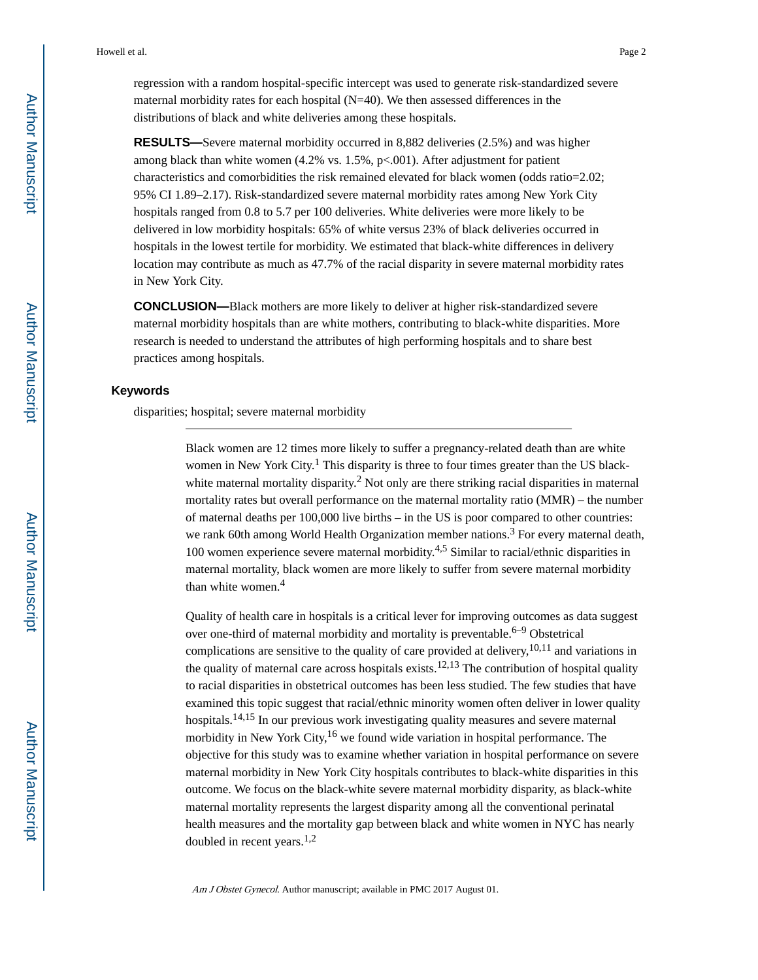**RESULTS—**Severe maternal morbidity occurred in 8,882 deliveries (2.5%) and was higher among black than white women  $(4.2\% \text{ vs. } 1.5\%, \text{ p} < .001)$ . After adjustment for patient characteristics and comorbidities the risk remained elevated for black women (odds ratio=2.02; 95% CI 1.89–2.17). Risk-standardized severe maternal morbidity rates among New York City hospitals ranged from 0.8 to 5.7 per 100 deliveries. White deliveries were more likely to be delivered in low morbidity hospitals: 65% of white versus 23% of black deliveries occurred in hospitals in the lowest tertile for morbidity. We estimated that black-white differences in delivery location may contribute as much as 47.7% of the racial disparity in severe maternal morbidity rates in New York City.

**CONCLUSION—**Black mothers are more likely to deliver at higher risk-standardized severe maternal morbidity hospitals than are white mothers, contributing to black-white disparities. More research is needed to understand the attributes of high performing hospitals and to share best practices among hospitals.

#### **Keywords**

disparities; hospital; severe maternal morbidity

Black women are 12 times more likely to suffer a pregnancy-related death than are white women in New York City.<sup>1</sup> This disparity is three to four times greater than the US blackwhite maternal mortality disparity.<sup>2</sup> Not only are there striking racial disparities in maternal mortality rates but overall performance on the maternal mortality ratio (MMR) – the number of maternal deaths per 100,000 live births – in the US is poor compared to other countries: we rank 60th among World Health Organization member nations.<sup>3</sup> For every maternal death, 100 women experience severe maternal morbidity.<sup>4,5</sup> Similar to racial/ethnic disparities in maternal mortality, black women are more likely to suffer from severe maternal morbidity than white women.<sup>4</sup>

Quality of health care in hospitals is a critical lever for improving outcomes as data suggest over one-third of maternal morbidity and mortality is preventable.<sup>6–9</sup> Obstetrical complications are sensitive to the quality of care provided at delivery,  $10,11$  and variations in the quality of maternal care across hospitals exists.<sup>12,13</sup> The contribution of hospital quality to racial disparities in obstetrical outcomes has been less studied. The few studies that have examined this topic suggest that racial/ethnic minority women often deliver in lower quality hospitals.<sup>14,15</sup> In our previous work investigating quality measures and severe maternal morbidity in New York City,  $16$  we found wide variation in hospital performance. The objective for this study was to examine whether variation in hospital performance on severe maternal morbidity in New York City hospitals contributes to black-white disparities in this outcome. We focus on the black-white severe maternal morbidity disparity, as black-white maternal mortality represents the largest disparity among all the conventional perinatal health measures and the mortality gap between black and white women in NYC has nearly doubled in recent years. $1,2$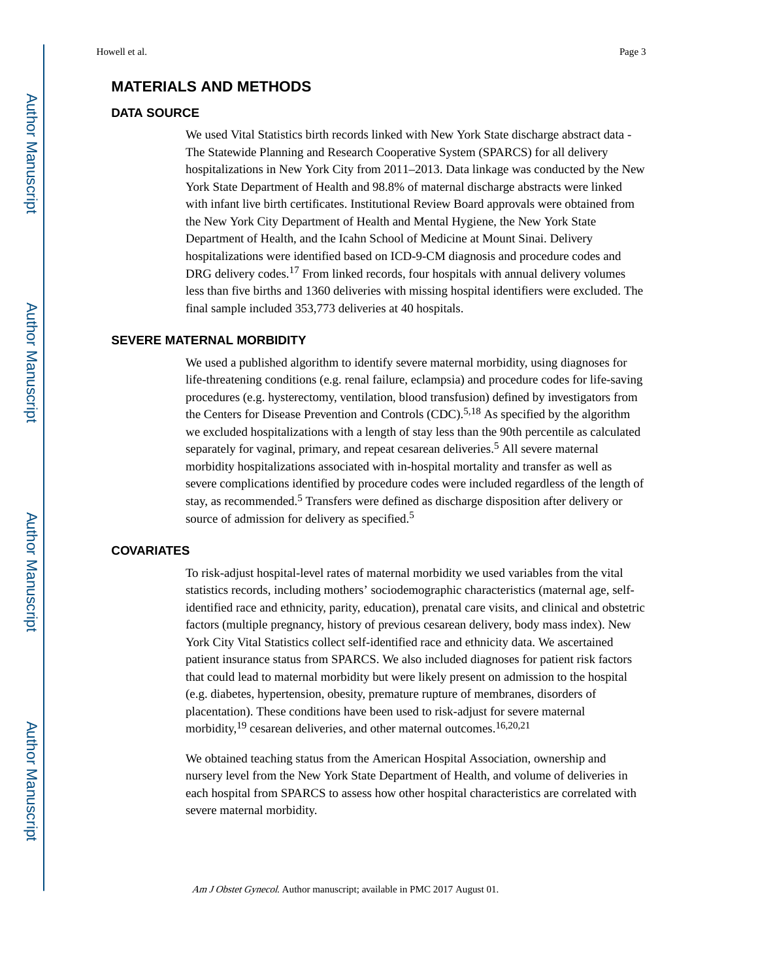## **MATERIALS AND METHODS**

#### **DATA SOURCE**

We used Vital Statistics birth records linked with New York State discharge abstract data - The Statewide Planning and Research Cooperative System (SPARCS) for all delivery hospitalizations in New York City from 2011–2013. Data linkage was conducted by the New York State Department of Health and 98.8% of maternal discharge abstracts were linked with infant live birth certificates. Institutional Review Board approvals were obtained from the New York City Department of Health and Mental Hygiene, the New York State Department of Health, and the Icahn School of Medicine at Mount Sinai. Delivery hospitalizations were identified based on ICD-9-CM diagnosis and procedure codes and DRG delivery codes.<sup>17</sup> From linked records, four hospitals with annual delivery volumes less than five births and 1360 deliveries with missing hospital identifiers were excluded. The final sample included 353,773 deliveries at 40 hospitals.

#### **SEVERE MATERNAL MORBIDITY**

We used a published algorithm to identify severe maternal morbidity, using diagnoses for life-threatening conditions (e.g. renal failure, eclampsia) and procedure codes for life-saving procedures (e.g. hysterectomy, ventilation, blood transfusion) defined by investigators from the Centers for Disease Prevention and Controls  $(CDC)$ ,  $5,18$  As specified by the algorithm we excluded hospitalizations with a length of stay less than the 90th percentile as calculated separately for vaginal, primary, and repeat cesarean deliveries.<sup>5</sup> All severe maternal morbidity hospitalizations associated with in-hospital mortality and transfer as well as severe complications identified by procedure codes were included regardless of the length of stay, as recommended.<sup>5</sup> Transfers were defined as discharge disposition after delivery or source of admission for delivery as specified.<sup>5</sup>

## **COVARIATES**

To risk-adjust hospital-level rates of maternal morbidity we used variables from the vital statistics records, including mothers' sociodemographic characteristics (maternal age, selfidentified race and ethnicity, parity, education), prenatal care visits, and clinical and obstetric factors (multiple pregnancy, history of previous cesarean delivery, body mass index). New York City Vital Statistics collect self-identified race and ethnicity data. We ascertained patient insurance status from SPARCS. We also included diagnoses for patient risk factors that could lead to maternal morbidity but were likely present on admission to the hospital (e.g. diabetes, hypertension, obesity, premature rupture of membranes, disorders of placentation). These conditions have been used to risk-adjust for severe maternal morbidity,<sup>19</sup> cesarean deliveries, and other maternal outcomes.<sup>16,20,21</sup>

We obtained teaching status from the American Hospital Association, ownership and nursery level from the New York State Department of Health, and volume of deliveries in each hospital from SPARCS to assess how other hospital characteristics are correlated with severe maternal morbidity.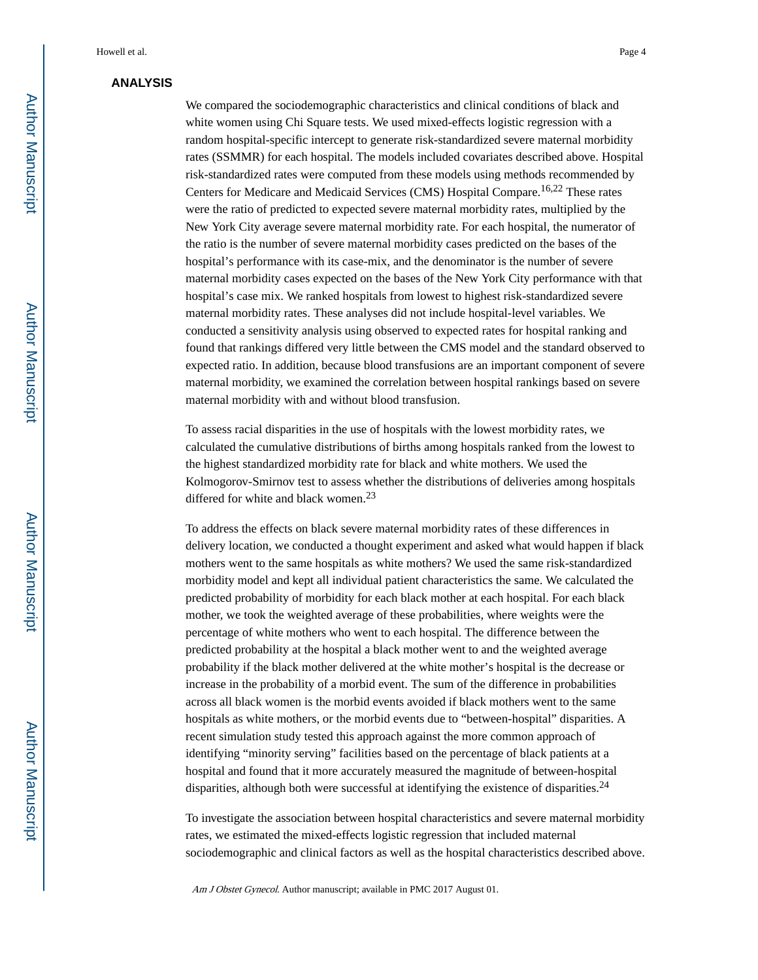#### **ANALYSIS**

We compared the sociodemographic characteristics and clinical conditions of black and white women using Chi Square tests. We used mixed-effects logistic regression with a random hospital-specific intercept to generate risk-standardized severe maternal morbidity rates (SSMMR) for each hospital. The models included covariates described above. Hospital risk-standardized rates were computed from these models using methods recommended by Centers for Medicare and Medicaid Services (CMS) Hospital Compare.16,22 These rates were the ratio of predicted to expected severe maternal morbidity rates, multiplied by the New York City average severe maternal morbidity rate. For each hospital, the numerator of the ratio is the number of severe maternal morbidity cases predicted on the bases of the hospital's performance with its case-mix, and the denominator is the number of severe maternal morbidity cases expected on the bases of the New York City performance with that hospital's case mix. We ranked hospitals from lowest to highest risk-standardized severe maternal morbidity rates. These analyses did not include hospital-level variables. We conducted a sensitivity analysis using observed to expected rates for hospital ranking and found that rankings differed very little between the CMS model and the standard observed to expected ratio. In addition, because blood transfusions are an important component of severe maternal morbidity, we examined the correlation between hospital rankings based on severe maternal morbidity with and without blood transfusion.

To assess racial disparities in the use of hospitals with the lowest morbidity rates, we calculated the cumulative distributions of births among hospitals ranked from the lowest to the highest standardized morbidity rate for black and white mothers. We used the Kolmogorov-Smirnov test to assess whether the distributions of deliveries among hospitals differed for white and black women.<sup>23</sup>

To address the effects on black severe maternal morbidity rates of these differences in delivery location, we conducted a thought experiment and asked what would happen if black mothers went to the same hospitals as white mothers? We used the same risk-standardized morbidity model and kept all individual patient characteristics the same. We calculated the predicted probability of morbidity for each black mother at each hospital. For each black mother, we took the weighted average of these probabilities, where weights were the percentage of white mothers who went to each hospital. The difference between the predicted probability at the hospital a black mother went to and the weighted average probability if the black mother delivered at the white mother's hospital is the decrease or increase in the probability of a morbid event. The sum of the difference in probabilities across all black women is the morbid events avoided if black mothers went to the same hospitals as white mothers, or the morbid events due to "between-hospital" disparities. A recent simulation study tested this approach against the more common approach of identifying "minority serving" facilities based on the percentage of black patients at a hospital and found that it more accurately measured the magnitude of between-hospital disparities, although both were successful at identifying the existence of disparities.<sup>24</sup>

To investigate the association between hospital characteristics and severe maternal morbidity rates, we estimated the mixed-effects logistic regression that included maternal sociodemographic and clinical factors as well as the hospital characteristics described above.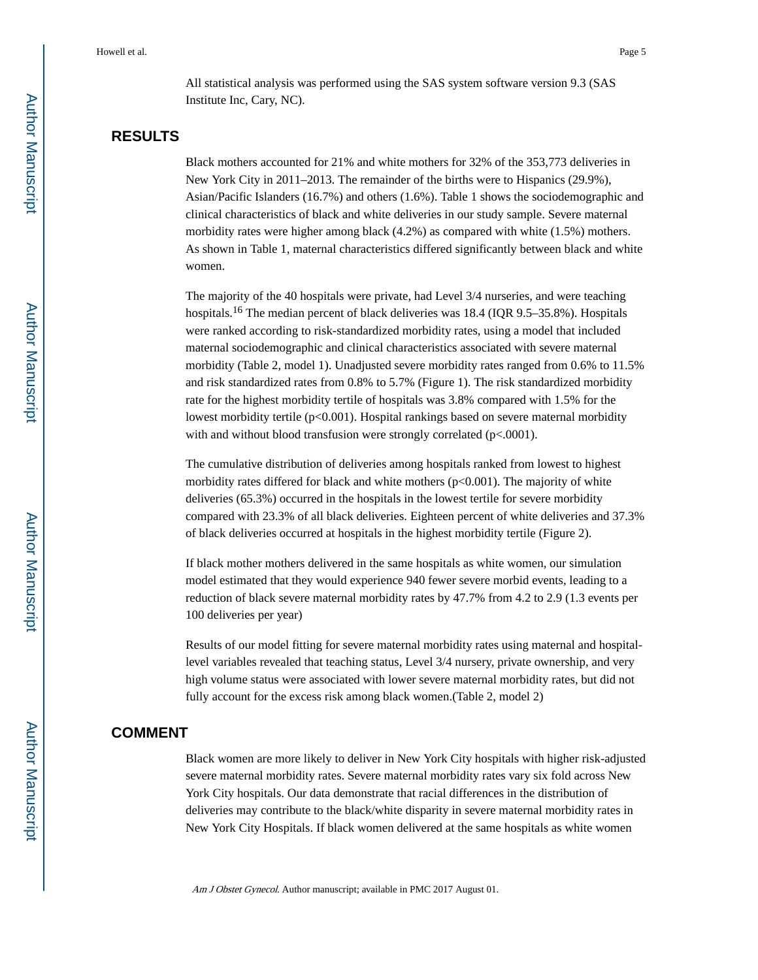All statistical analysis was performed using the SAS system software version 9.3 (SAS Institute Inc, Cary, NC).

## **RESULTS**

Black mothers accounted for 21% and white mothers for 32% of the 353,773 deliveries in New York City in 2011–2013. The remainder of the births were to Hispanics (29.9%), Asian/Pacific Islanders (16.7%) and others (1.6%). Table 1 shows the sociodemographic and clinical characteristics of black and white deliveries in our study sample. Severe maternal morbidity rates were higher among black (4.2%) as compared with white (1.5%) mothers. As shown in Table 1, maternal characteristics differed significantly between black and white women.

The majority of the 40 hospitals were private, had Level 3/4 nurseries, and were teaching hospitals.<sup>16</sup> The median percent of black deliveries was 18.4 (IQR 9.5–35.8%). Hospitals were ranked according to risk-standardized morbidity rates, using a model that included maternal sociodemographic and clinical characteristics associated with severe maternal morbidity (Table 2, model 1). Unadjusted severe morbidity rates ranged from 0.6% to 11.5% and risk standardized rates from 0.8% to 5.7% (Figure 1). The risk standardized morbidity rate for the highest morbidity tertile of hospitals was 3.8% compared with 1.5% for the lowest morbidity tertile  $(p<0.001)$ . Hospital rankings based on severe maternal morbidity with and without blood transfusion were strongly correlated (p<.0001).

The cumulative distribution of deliveries among hospitals ranked from lowest to highest morbidity rates differed for black and white mothers ( $p<0.001$ ). The majority of white deliveries (65.3%) occurred in the hospitals in the lowest tertile for severe morbidity compared with 23.3% of all black deliveries. Eighteen percent of white deliveries and 37.3% of black deliveries occurred at hospitals in the highest morbidity tertile (Figure 2).

If black mother mothers delivered in the same hospitals as white women, our simulation model estimated that they would experience 940 fewer severe morbid events, leading to a reduction of black severe maternal morbidity rates by 47.7% from 4.2 to 2.9 (1.3 events per 100 deliveries per year)

Results of our model fitting for severe maternal morbidity rates using maternal and hospitallevel variables revealed that teaching status, Level 3/4 nursery, private ownership, and very high volume status were associated with lower severe maternal morbidity rates, but did not fully account for the excess risk among black women.(Table 2, model 2)

# **COMMENT**

Black women are more likely to deliver in New York City hospitals with higher risk-adjusted severe maternal morbidity rates. Severe maternal morbidity rates vary six fold across New York City hospitals. Our data demonstrate that racial differences in the distribution of deliveries may contribute to the black/white disparity in severe maternal morbidity rates in New York City Hospitals. If black women delivered at the same hospitals as white women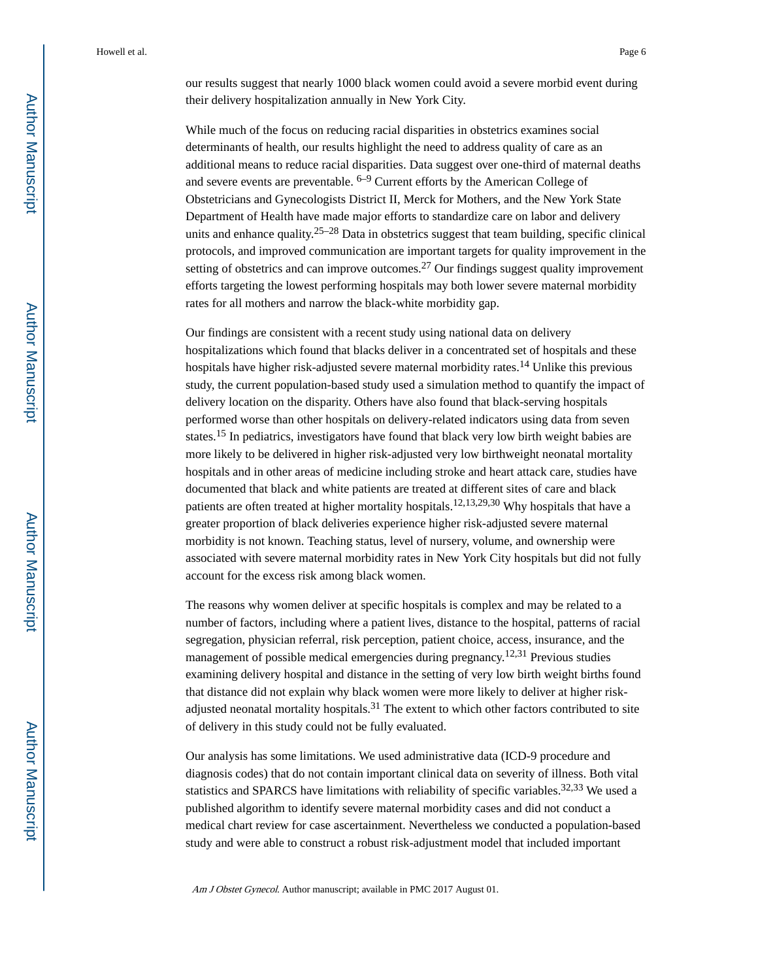While much of the focus on reducing racial disparities in obstetrics examines social determinants of health, our results highlight the need to address quality of care as an additional means to reduce racial disparities. Data suggest over one-third of maternal deaths and severe events are preventable.  $6-9$  Current efforts by the American College of Obstetricians and Gynecologists District II, Merck for Mothers, and the New York State Department of Health have made major efforts to standardize care on labor and delivery units and enhance quality.<sup>25–28</sup> Data in obstetrics suggest that team building, specific clinical protocols, and improved communication are important targets for quality improvement in the setting of obstetrics and can improve outcomes.<sup>27</sup> Our findings suggest quality improvement efforts targeting the lowest performing hospitals may both lower severe maternal morbidity rates for all mothers and narrow the black-white morbidity gap.

Our findings are consistent with a recent study using national data on delivery hospitalizations which found that blacks deliver in a concentrated set of hospitals and these hospitals have higher risk-adjusted severe maternal morbidity rates.<sup>14</sup> Unlike this previous study, the current population-based study used a simulation method to quantify the impact of delivery location on the disparity. Others have also found that black-serving hospitals performed worse than other hospitals on delivery-related indicators using data from seven states.15 In pediatrics, investigators have found that black very low birth weight babies are more likely to be delivered in higher risk-adjusted very low birthweight neonatal mortality hospitals and in other areas of medicine including stroke and heart attack care, studies have documented that black and white patients are treated at different sites of care and black patients are often treated at higher mortality hospitals.12,13,29,30 Why hospitals that have a greater proportion of black deliveries experience higher risk-adjusted severe maternal morbidity is not known. Teaching status, level of nursery, volume, and ownership were associated with severe maternal morbidity rates in New York City hospitals but did not fully account for the excess risk among black women.

The reasons why women deliver at specific hospitals is complex and may be related to a number of factors, including where a patient lives, distance to the hospital, patterns of racial segregation, physician referral, risk perception, patient choice, access, insurance, and the management of possible medical emergencies during pregnancy.12,31 Previous studies examining delivery hospital and distance in the setting of very low birth weight births found that distance did not explain why black women were more likely to deliver at higher riskadjusted neonatal mortality hospitals.<sup>31</sup> The extent to which other factors contributed to site of delivery in this study could not be fully evaluated.

Our analysis has some limitations. We used administrative data (ICD-9 procedure and diagnosis codes) that do not contain important clinical data on severity of illness. Both vital statistics and SPARCS have limitations with reliability of specific variables.<sup>32,33</sup> We used a published algorithm to identify severe maternal morbidity cases and did not conduct a medical chart review for case ascertainment. Nevertheless we conducted a population-based study and were able to construct a robust risk-adjustment model that included important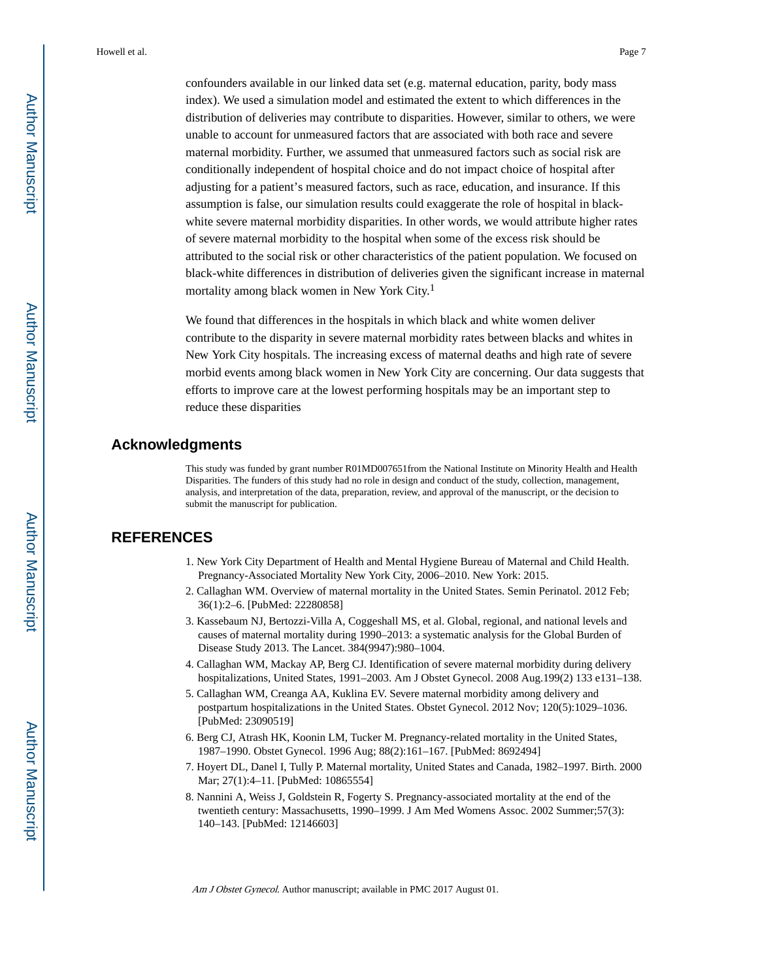confounders available in our linked data set (e.g. maternal education, parity, body mass index). We used a simulation model and estimated the extent to which differences in the distribution of deliveries may contribute to disparities. However, similar to others, we were unable to account for unmeasured factors that are associated with both race and severe maternal morbidity. Further, we assumed that unmeasured factors such as social risk are conditionally independent of hospital choice and do not impact choice of hospital after adjusting for a patient's measured factors, such as race, education, and insurance. If this assumption is false, our simulation results could exaggerate the role of hospital in blackwhite severe maternal morbidity disparities. In other words, we would attribute higher rates of severe maternal morbidity to the hospital when some of the excess risk should be attributed to the social risk or other characteristics of the patient population. We focused on black-white differences in distribution of deliveries given the significant increase in maternal mortality among black women in New York City.<sup>1</sup>

We found that differences in the hospitals in which black and white women deliver contribute to the disparity in severe maternal morbidity rates between blacks and whites in New York City hospitals. The increasing excess of maternal deaths and high rate of severe morbid events among black women in New York City are concerning. Our data suggests that efforts to improve care at the lowest performing hospitals may be an important step to reduce these disparities

#### **Acknowledgments**

This study was funded by grant number R01MD007651from the National Institute on Minority Health and Health Disparities. The funders of this study had no role in design and conduct of the study, collection, management, analysis, and interpretation of the data, preparation, review, and approval of the manuscript, or the decision to submit the manuscript for publication.

## **REFERENCES**

- 1. New York City Department of Health and Mental Hygiene Bureau of Maternal and Child Health. Pregnancy-Associated Mortality New York City, 2006–2010. New York: 2015.
- 2. Callaghan WM. Overview of maternal mortality in the United States. Semin Perinatol. 2012 Feb; 36(1):2–6. [PubMed: 22280858]
- 3. Kassebaum NJ, Bertozzi-Villa A, Coggeshall MS, et al. Global, regional, and national levels and causes of maternal mortality during 1990–2013: a systematic analysis for the Global Burden of Disease Study 2013. The Lancet. 384(9947):980–1004.
- 4. Callaghan WM, Mackay AP, Berg CJ. Identification of severe maternal morbidity during delivery hospitalizations, United States, 1991–2003. Am J Obstet Gynecol. 2008 Aug.199(2) 133 e131–138.
- 5. Callaghan WM, Creanga AA, Kuklina EV. Severe maternal morbidity among delivery and postpartum hospitalizations in the United States. Obstet Gynecol. 2012 Nov; 120(5):1029–1036. [PubMed: 23090519]
- 6. Berg CJ, Atrash HK, Koonin LM, Tucker M. Pregnancy-related mortality in the United States, 1987–1990. Obstet Gynecol. 1996 Aug; 88(2):161–167. [PubMed: 8692494]
- 7. Hoyert DL, Danel I, Tully P. Maternal mortality, United States and Canada, 1982–1997. Birth. 2000 Mar; 27(1):4–11. [PubMed: 10865554]
- 8. Nannini A, Weiss J, Goldstein R, Fogerty S. Pregnancy-associated mortality at the end of the twentieth century: Massachusetts, 1990–1999. J Am Med Womens Assoc. 2002 Summer;57(3): 140–143. [PubMed: 12146603]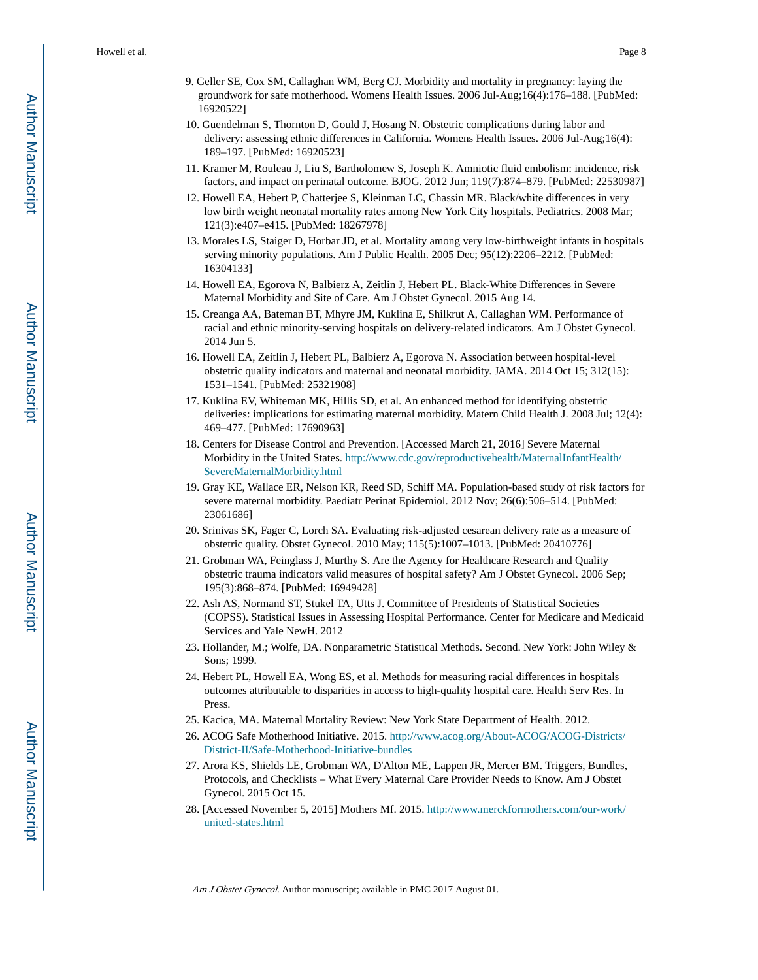- 9. Geller SE, Cox SM, Callaghan WM, Berg CJ. Morbidity and mortality in pregnancy: laying the groundwork for safe motherhood. Womens Health Issues. 2006 Jul-Aug;16(4):176–188. [PubMed: 16920522]
- 10. Guendelman S, Thornton D, Gould J, Hosang N. Obstetric complications during labor and delivery: assessing ethnic differences in California. Womens Health Issues. 2006 Jul-Aug;16(4): 189–197. [PubMed: 16920523]
- 11. Kramer M, Rouleau J, Liu S, Bartholomew S, Joseph K. Amniotic fluid embolism: incidence, risk factors, and impact on perinatal outcome. BJOG. 2012 Jun; 119(7):874–879. [PubMed: 22530987]
- 12. Howell EA, Hebert P, Chatterjee S, Kleinman LC, Chassin MR. Black/white differences in very low birth weight neonatal mortality rates among New York City hospitals. Pediatrics. 2008 Mar; 121(3):e407–e415. [PubMed: 18267978]
- 13. Morales LS, Staiger D, Horbar JD, et al. Mortality among very low-birthweight infants in hospitals serving minority populations. Am J Public Health. 2005 Dec; 95(12):2206–2212. [PubMed: 16304133]
- 14. Howell EA, Egorova N, Balbierz A, Zeitlin J, Hebert PL. Black-White Differences in Severe Maternal Morbidity and Site of Care. Am J Obstet Gynecol. 2015 Aug 14.
- 15. Creanga AA, Bateman BT, Mhyre JM, Kuklina E, Shilkrut A, Callaghan WM. Performance of racial and ethnic minority-serving hospitals on delivery-related indicators. Am J Obstet Gynecol. 2014 Jun 5.
- 16. Howell EA, Zeitlin J, Hebert PL, Balbierz A, Egorova N. Association between hospital-level obstetric quality indicators and maternal and neonatal morbidity. JAMA. 2014 Oct 15; 312(15): 1531–1541. [PubMed: 25321908]
- 17. Kuklina EV, Whiteman MK, Hillis SD, et al. An enhanced method for identifying obstetric deliveries: implications for estimating maternal morbidity. Matern Child Health J. 2008 Jul; 12(4): 469–477. [PubMed: 17690963]
- 18. Centers for Disease Control and Prevention. [Accessed March 21, 2016] Severe Maternal Morbidity in the United States. [http://www.cdc.gov/reproductivehealth/MaternalInfantHealth/](http://www.cdc.gov/reproductivehealth/MaternalInfantHealth/SevereMaternalMorbidity.html) [SevereMaternalMorbidity.html](http://www.cdc.gov/reproductivehealth/MaternalInfantHealth/SevereMaternalMorbidity.html)
- 19. Gray KE, Wallace ER, Nelson KR, Reed SD, Schiff MA. Population-based study of risk factors for severe maternal morbidity. Paediatr Perinat Epidemiol. 2012 Nov; 26(6):506–514. [PubMed: 23061686]
- 20. Srinivas SK, Fager C, Lorch SA. Evaluating risk-adjusted cesarean delivery rate as a measure of obstetric quality. Obstet Gynecol. 2010 May; 115(5):1007–1013. [PubMed: 20410776]
- 21. Grobman WA, Feinglass J, Murthy S. Are the Agency for Healthcare Research and Quality obstetric trauma indicators valid measures of hospital safety? Am J Obstet Gynecol. 2006 Sep; 195(3):868–874. [PubMed: 16949428]
- 22. Ash AS, Normand ST, Stukel TA, Utts J. Committee of Presidents of Statistical Societies (COPSS). Statistical Issues in Assessing Hospital Performance. Center for Medicare and Medicaid Services and Yale NewH. 2012
- 23. Hollander, M.; Wolfe, DA. Nonparametric Statistical Methods. Second. New York: John Wiley & Sons; 1999.
- 24. Hebert PL, Howell EA, Wong ES, et al. Methods for measuring racial differences in hospitals outcomes attributable to disparities in access to high-quality hospital care. Health Serv Res. In Press.
- 25. Kacica, MA. Maternal Mortality Review: New York State Department of Health. 2012.
- 26. ACOG Safe Motherhood Initiative. 2015. [http://www.acog.org/About-ACOG/ACOG-Districts/](http://www.acog.org/About-ACOG/ACOG-Districts/District-II/Safe-Motherhood-Initiative-bundles) [District-II/Safe-Motherhood-Initiative-bundles](http://www.acog.org/About-ACOG/ACOG-Districts/District-II/Safe-Motherhood-Initiative-bundles)
- 27. Arora KS, Shields LE, Grobman WA, D'Alton ME, Lappen JR, Mercer BM. Triggers, Bundles, Protocols, and Checklists – What Every Maternal Care Provider Needs to Know. Am J Obstet Gynecol. 2015 Oct 15.
- 28. [Accessed November 5, 2015] Mothers Mf. 2015. [http://www.merckformothers.com/our-work/](http://www.merckformothers.com/our-work/united-states.html) [united-states.html](http://www.merckformothers.com/our-work/united-states.html)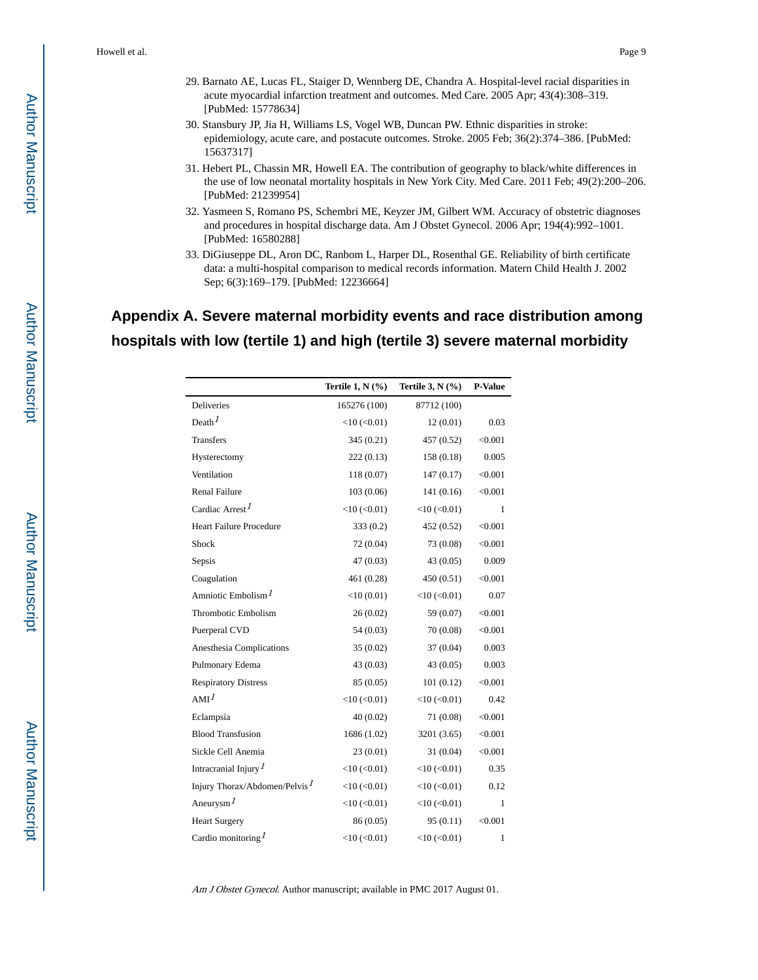Howell et al. Page 9

- 30. Stansbury JP, Jia H, Williams LS, Vogel WB, Duncan PW. Ethnic disparities in stroke: epidemiology, acute care, and postacute outcomes. Stroke. 2005 Feb; 36(2):374–386. [PubMed: 15637317]
- 31. Hebert PL, Chassin MR, Howell EA. The contribution of geography to black/white differences in the use of low neonatal mortality hospitals in New York City. Med Care. 2011 Feb; 49(2):200–206. [PubMed: 21239954]
- 32. Yasmeen S, Romano PS, Schembri ME, Keyzer JM, Gilbert WM. Accuracy of obstetric diagnoses and procedures in hospital discharge data. Am J Obstet Gynecol. 2006 Apr; 194(4):992–1001. [PubMed: 16580288]
- 33. DiGiuseppe DL, Aron DC, Ranbom L, Harper DL, Rosenthal GE. Reliability of birth certificate data: a multi-hospital comparison to medical records information. Matern Child Health J. 2002 Sep; 6(3):169–179. [PubMed: 12236664]

# **Appendix A. Severe maternal morbidity events and race distribution among hospitals with low (tertile 1) and high (tertile 3) severe maternal morbidity**

|                                               | Tertile 1, $N$ $(\%)$ | Tertile 3, $N$ $(\%$ | P-Value |
|-----------------------------------------------|-----------------------|----------------------|---------|
| <b>Deliveries</b>                             | 165276 (100)          | 87712 (100)          |         |
| Death $I$                                     | $<10$ ( $< 0.01$ )    | 12(0.01)             | 0.03    |
| Transfers                                     | 345(0.21)             | 457 (0.52)           | < 0.001 |
| Hysterectomy                                  | 222(0.13)             | 158 (0.18)           | 0.005   |
| Ventilation                                   | 118 (0.07)            | 147(0.17)            | < 0.001 |
| Renal Failure                                 | 103(0.06)             | 141(0.16)            | < 0.001 |
| Cardiac Arrest <sup>1</sup>                   | $<$ 10 $(<$ 0.01)     | $<10$ ( $<$ 0.01)    | 1       |
| Heart Failure Procedure                       | 333(0.2)              | 452 (0.52)           | < 0.001 |
| Shock                                         | 72 (0.04)             | 73 (0.08)            | < 0.001 |
| Sepsis                                        | 47(0.03)              | 43 (0.05)            | 0.009   |
| Coagulation                                   | 461 (0.28)            | 450(0.51)            | < 0.001 |
| Amniotic Embolism $I$                         | $<$ 10 $(0.01)$       | $<$ 10 $(<$ 0.01)    | 0.07    |
| Thrombotic Embolism                           | 26(0.02)              | 59 (0.07)            | < 0.001 |
| Puerperal CVD                                 | 54 (0.03)             | 70 (0.08)            | < 0.001 |
| Anesthesia Complications                      | 35(0.02)              | 37(0.04)             | 0.003   |
| Pulmonary Edema                               | 43 (0.03)             | 43 (0.05)            | 0.003   |
| <b>Respiratory Distress</b>                   | 85 (0.05)             | 101(0.12)            | < 0.001 |
| $AMI^{\dagger}$                               | $<10$ ( $<$ 0.01)     | $<10$ ( $<$ 0.01)    | 0.42    |
| Eclampsia                                     | 40(0.02)              | 71 (0.08)            | < 0.001 |
| <b>Blood Transfusion</b>                      | 1686 (1.02)           | 3201 (3.65)          | < 0.001 |
| Sickle Cell Anemia                            | 23(0.01)              | 31(0.04)             | < 0.001 |
| Intracranial Injury <sup><math>I</math></sup> | $<10$ ( $<$ 0.01)     | $<10$ ( $<$ 0.01)    | 0.35    |
| Injury Thorax/Abdomen/Pelvis <sup>1</sup>     | $<10$ ( $< 0.01$ )    | $<10$ ( $<$ 0.01)    | 0.12    |
| Aneurysm $I$                                  | $<$ 10 $(<$ 0.01)     | $<$ 10 $(<$ 0.01)    | 1       |
| <b>Heart Surgery</b>                          | 86 (0.05)             | 95(0.11)             | < 0.001 |
| Cardio monitoring $I$                         | $<$ 10 $(<$ 0.01)     | $<$ 10 ( $<$ 0.01)   | 1       |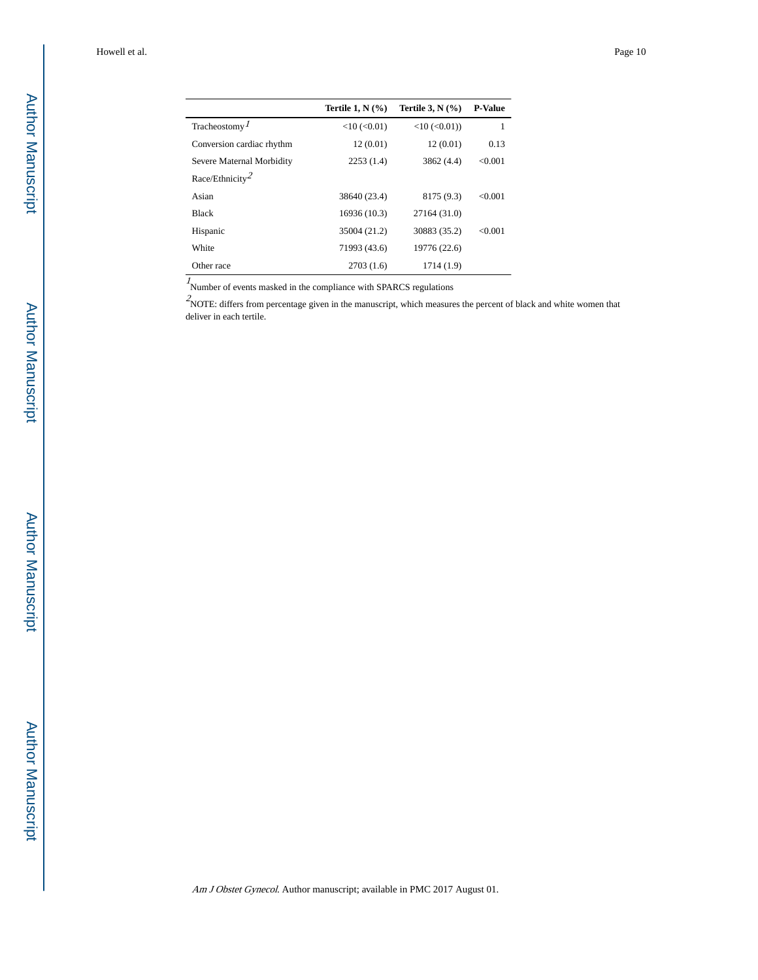Howell et al. Page 10

|                             | Tertile 1, $N$ $(\% )$ | Tertile $3, N$ (%) | <b>P-Value</b> |
|-----------------------------|------------------------|--------------------|----------------|
| Tracheostomy <sup>I</sup>   | $<$ 10 ( $<$ 0.01)     | $<10$ ( $<$ 0.01)) | 1              |
| Conversion cardiac rhythm   | 12(0.01)               | 12(0.01)           | 0.13           |
| Severe Maternal Morbidity   | 2253(1.4)              | 3862 (4.4)         | < 0.001        |
| Race/Ethnicity <sup>2</sup> |                        |                    |                |
| Asian                       | 38640 (23.4)           | 8175 (9.3)         | < 0.001        |
| <b>Black</b>                | 16936 (10.3)           | 27164 (31.0)       |                |
| Hispanic                    | 35004 (21.2)           | 30883 (35.2)       | < 0.001        |
| White                       | 71993 (43.6)           | 19776 (22.6)       |                |
| Other race                  | 2703(1.6)              | 1714 (1.9)         |                |

1 Number of events masked in the compliance with SPARCS regulations

 $2$  NOTE: differs from percentage given in the manuscript, which measures the percent of black and white women that deliver in each tertile.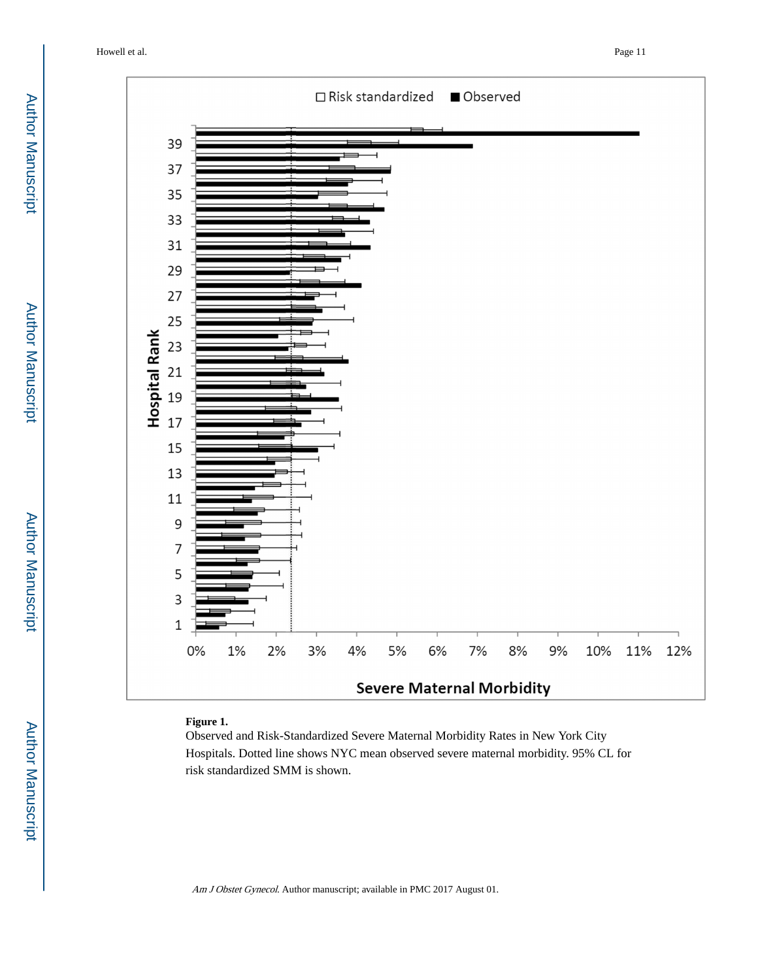Howell et al. Page 11



#### **Figure 1.**

Observed and Risk-Standardized Severe Maternal Morbidity Rates in New York City Hospitals. Dotted line shows NYC mean observed severe maternal morbidity. 95% CL for risk standardized SMM is shown.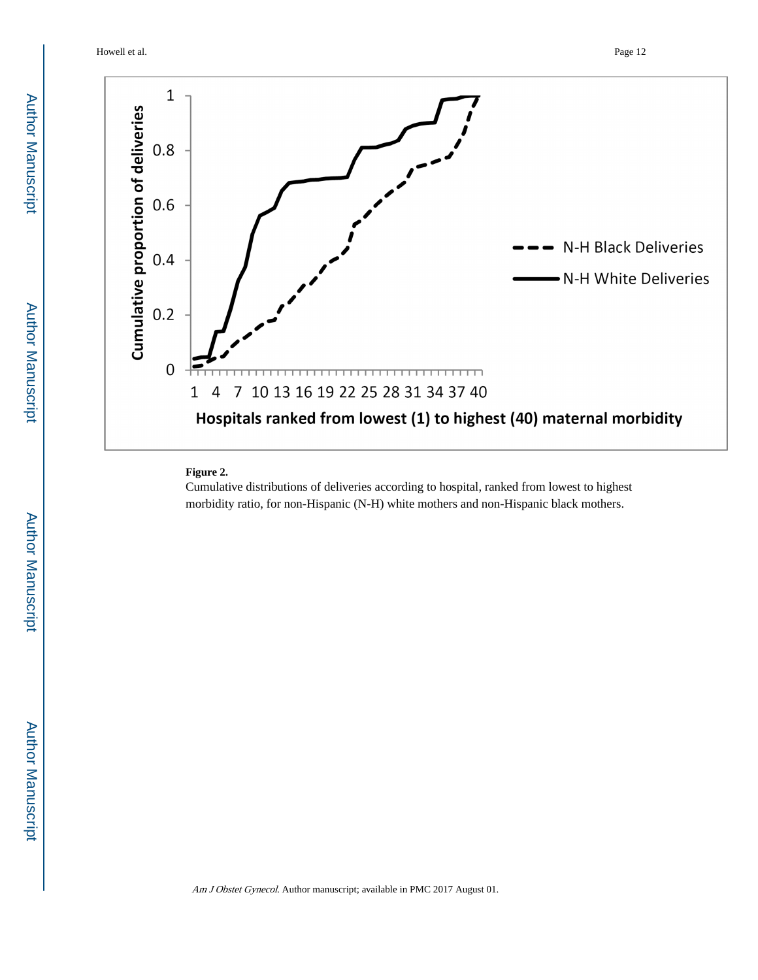Howell et al. Page 12



#### **Figure 2.**

Cumulative distributions of deliveries according to hospital, ranked from lowest to highest morbidity ratio, for non-Hispanic (N-H) white mothers and non-Hispanic black mothers.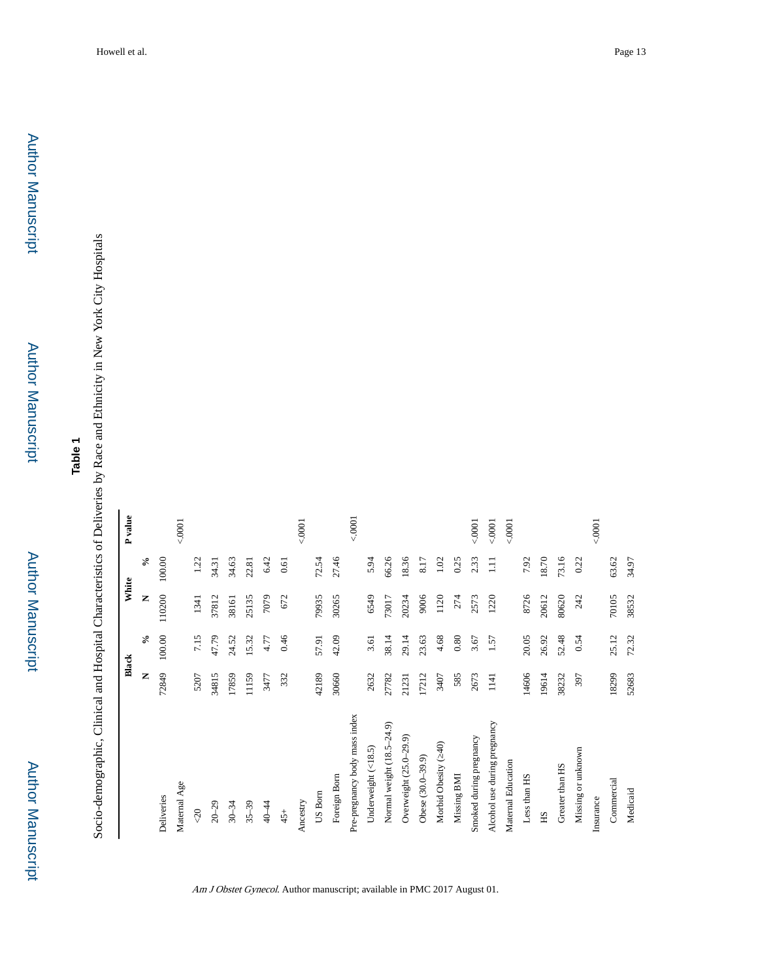# **Table 1**

Socio-demographic, Clinical and Hospital Characteristics of Deliveries by Race and Ethnicity in New York City Hospitals Socio-demographic, Clinical and Hospital Characteristics of Deliveries by Race and Ethnicity in New York City Hospitals

|                               | Black |               | White  |                         | P <sub>value</sub> |
|-------------------------------|-------|---------------|--------|-------------------------|--------------------|
|                               | z     | $\mathcal{S}$ | Z      | $\mathcal{S}_{\bullet}$ |                    |
| Deliveries                    | 72849 | 100.00        | 110200 | 100.00                  |                    |
| Maternal Age                  |       |               |        |                         | < 0001             |
| $\sqrt{20}$                   | 5207  | 7.15          | 1341   | 1.22                    |                    |
| $20 - 29$                     | 34815 | 47.79         | 37812  | 34.31                   |                    |
| $30 - 34$                     | 17859 | 24.52         | 38161  | 34.63                   |                    |
| $35 - 39$                     | 11159 | 15.32         | 25135  | 22.81                   |                    |
| $40 - 44$                     | 3477  | 4.77          | 7079   | 6.42                    |                    |
| $45+$                         | 332   | 0.46          | 672    | 0.61                    |                    |
| Ancestry                      |       |               |        |                         | 0001               |
| US Born                       | 42189 | 57.91         | 79935  | 72.54                   |                    |
| Foreign Born                  | 30660 | 42.09         | 30265  | 27.46                   |                    |
| Pre-pregnancy body mass index |       |               |        |                         | &0001              |
| Underweight $($ <18.5)        | 2632  | 3.61          | 6549   | 5.94                    |                    |
| Normal weight (18.5-24.9)     | 27782 | 38.14         | 73017  | 66.26                   |                    |
| Overweight (25.0-29.9)        | 21231 | 29.14         | 20234  | 18.36                   |                    |
| Obese (30.0-39.9)             | 17212 | 23.63         | 9006   | 8.17                    |                    |
| Morbid Obesity (40)           | 3407  | 4.68          | 1120   | $1.02$                  |                    |
| Missing BMI                   | 585   | $\rm 0.80$    | 274    | 0.25                    |                    |
| Smoked during pregnancy       | 2673  | 3.67          | 2573   | 2.33                    | 0001               |
| Alcohol use during pregnancy  | 1141  | 1.57          | 1220   | $\Xi$                   | 0001               |
| Maternal Education            |       |               |        |                         | < .0001            |
| Less than HS                  | 14606 | 20.05         | 8726   | 7.92                    |                    |
| НS                            | 19614 | 26.92         | 20612  | 18.70                   |                    |
| Greater than HS               | 38232 | 52.48         | 80620  | 73.16                   |                    |
| Missing or unknown            | 397   | 0.54          | 242    | 0.22                    |                    |
| Insurance                     |       |               |        |                         | < 0001             |
| Commercial                    | 18299 | 25.12         | 70105  | 63.62                   |                    |
| Medicaid                      | 52683 | 72.32         | 38532  | 34.97                   |                    |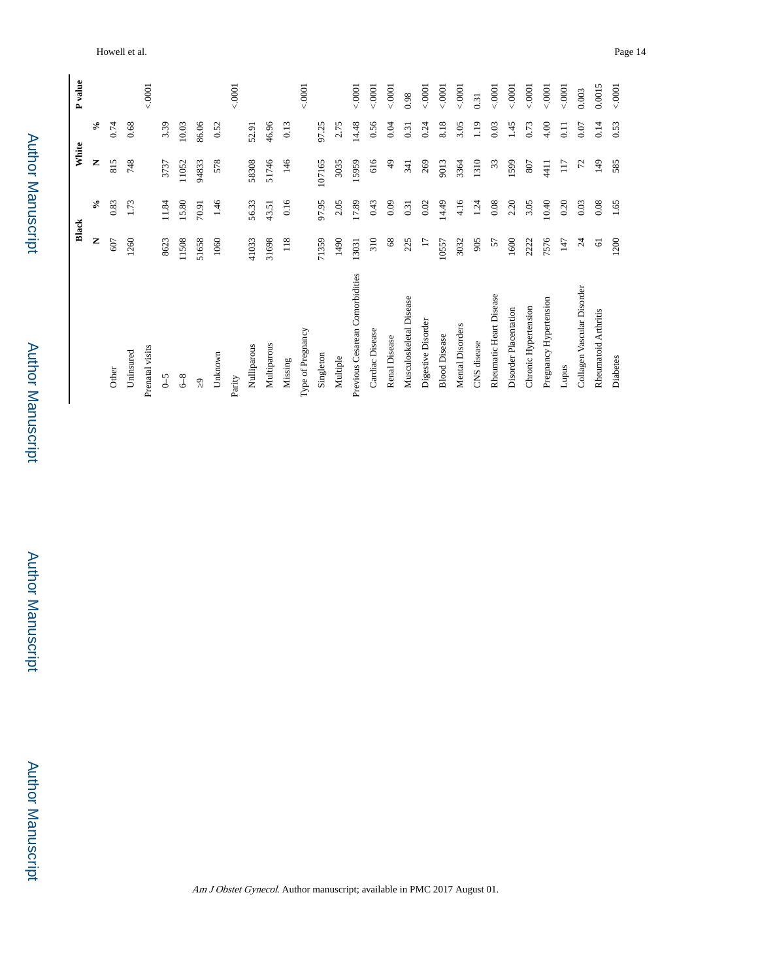|                                 | Black          |                         | White         |                         | P value |
|---------------------------------|----------------|-------------------------|---------------|-------------------------|---------|
|                                 | z              | $\mathcal{E}_{\bullet}$ | z             | $\mathcal{E}_{\bullet}$ |         |
| Other                           | 607            | 0.83                    | 815           | 0.74                    |         |
| Uninsured                       | 1260           | 1.73                    | 748           | 0.68                    |         |
| Prenatal visits                 |                |                         |               |                         | &0001   |
| $6-5$                           | 8623           | 11.84                   | 3737          | 3.39                    |         |
| $6-8$                           | 11508          | 15.80                   | 11052         | 10.03                   |         |
| $\bullet$                       | 51658          | 70.91                   | 94833         | 86.06                   |         |
| Unknown                         | 1060           | 1.46                    | 578           | 0.52                    |         |
| Parity                          |                |                         |               |                         | 0001    |
| Nulliparous                     | 41033          | 56.33                   | 58308         | 52.91                   |         |
| Multiparous                     | 31698          | 43.51                   | 51746         | 46.96                   |         |
| Missing                         | $\frac{18}{1}$ | 0.16                    | 146           | 0.13                    |         |
| Type of Pregnancy               |                |                         |               |                         | 50001   |
| Singleton                       | 71359          | 97.95                   | 107165        | 97.25                   |         |
| Multiple                        | 1490           | 2.05                    | 3035          | 2.75                    |         |
| Previous Cesarean Comorbidities | 13031          | 17.89                   | 15959         | 14.48                   | 0001    |
| Cardiac Disease                 | 310            | 0.43                    | 616           | 0.56                    | 0001    |
| Renal Disease                   | $68\,$         | 0.09                    | $\frac{1}{2}$ | 0.04                    | 0001    |
| Musculoskeletal Disease         | 225            | 0.31                    | 341           | 0.31                    | 0.98    |
| Digestive Disorder              | $\Box$         | 0.02                    | 269           | 0.24                    | 0001    |
| <b>Blood Disease</b>            | 10557          | 14.49                   | 9013          | 8.18                    | 0001    |
| Mental Disorders                | 3032           | 4.16                    | 3364          | 3.05                    | 10001   |
| CNS disease                     | 905            | 1.24                    | 1310          | 1.19                    | 0.31    |
| Rheumatic Heart Disease         | 57             | $0.08$                  | 33            | 0.03                    | 0001    |
| Disorder Placentation           | 1600           | 2.20                    | 1599          | 1.45                    | 00001   |
| Chronic Hypertension            | 2222           | 3.05                    | 807           | 0.73                    | 0001    |
| Pregnancy Hypertension          | 7576           | 10.40                   | 4411          | 4.00                    | 0001    |
| Lupus                           | 147            | 0.20                    | 117           | 0.11                    | 10001   |
| Collagen Vascular Disorder      | $\overline{c}$ | $0.03\,$                | 72            | $0.07$                  | 0.003   |
| Rheumatoid Arthritis            | $\overline{6}$ | $0.08$                  | 149           | 0.14                    | 0.0015  |
| Diabetes                        | 1200           | 1.65                    | 585           | 0.53                    | 0001    |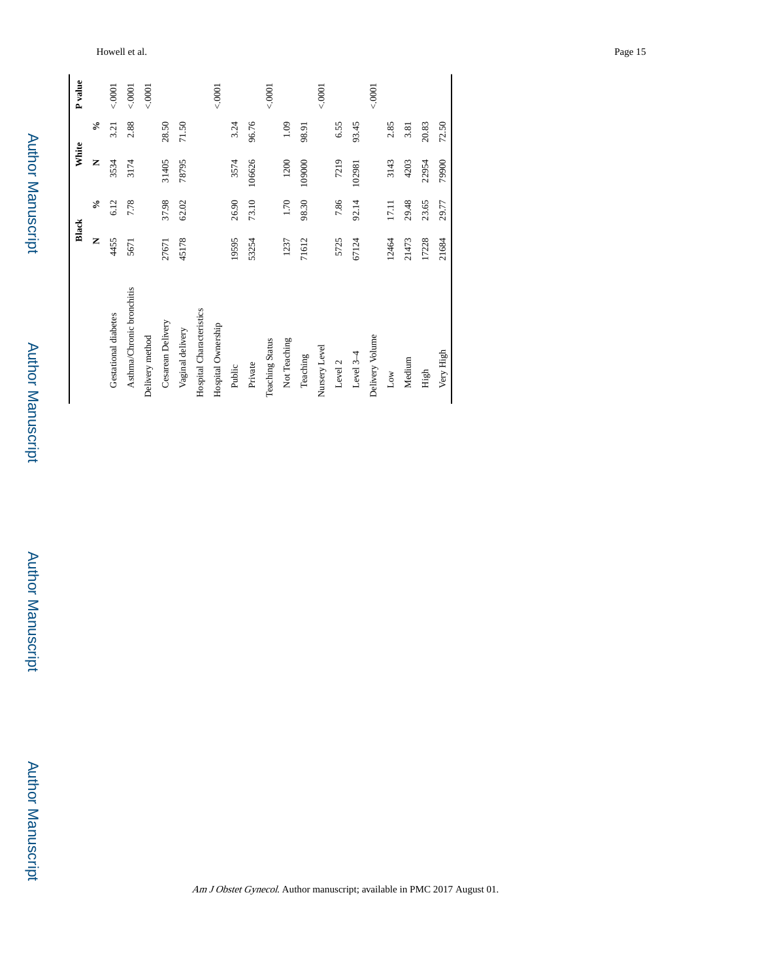|                           |       | Black   | White  |       | P value |
|---------------------------|-------|---------|--------|-------|---------|
|                           | Z     | ళ       | Z      | ℅     |         |
| Gestational diabetes      | 4455  | 6.12    | 3534   | 3.21  | < .0001 |
| Asthma/Chronic bronchitis | 5671  | 7.78    | 3174   | 2.88  | &0001   |
| Delivery method           |       |         |        |       | &0001   |
| Cesarean Delivery         | 27671 | 37.98   | 31405  | 28.50 |         |
| Vaginal delivery          | 45178 | 62.02   | 78795  | 71.50 |         |
| Hospital Characteristics  |       |         |        |       |         |
| Hospital Ownership        |       |         |        |       | 50001   |
| Public                    | 19595 | 26.90   | 3574   | 3.24  |         |
| Private                   | 53254 | 73.10   | 106626 | 96.76 |         |
| <b>Teaching Status</b>    |       |         |        |       | < .0001 |
| Not Teaching              | 1237  | 1.70    | 1200   | 1.09  |         |
| Teaching                  | 71612 | 98.30   | 109000 | 98.91 |         |
| Nursery Level             |       |         |        |       | < .0001 |
| Level <sub>2</sub>        | 5725  | 7.86    | 7219   | 6.55  |         |
| Level $3-4$               | 67124 | 92.14   | 102981 | 93.45 |         |
| Delivery Volume           |       |         |        |       | 50001   |
| Low                       | 12464 | $17.11$ | 3143   | 2.85  |         |
| Medium                    | 21473 | 29.48   | 4203   | 3.81  |         |
| High                      | 17228 | 23.65   | 22954  | 20.83 |         |
| Very High                 | 21684 | 29.77   | 79900  | 72.50 |         |
|                           |       |         |        |       |         |

Am J Obstet Gynecol. Author manuscript; available in PMC 2017 August 01.

Author Manuscript

Author Manuscript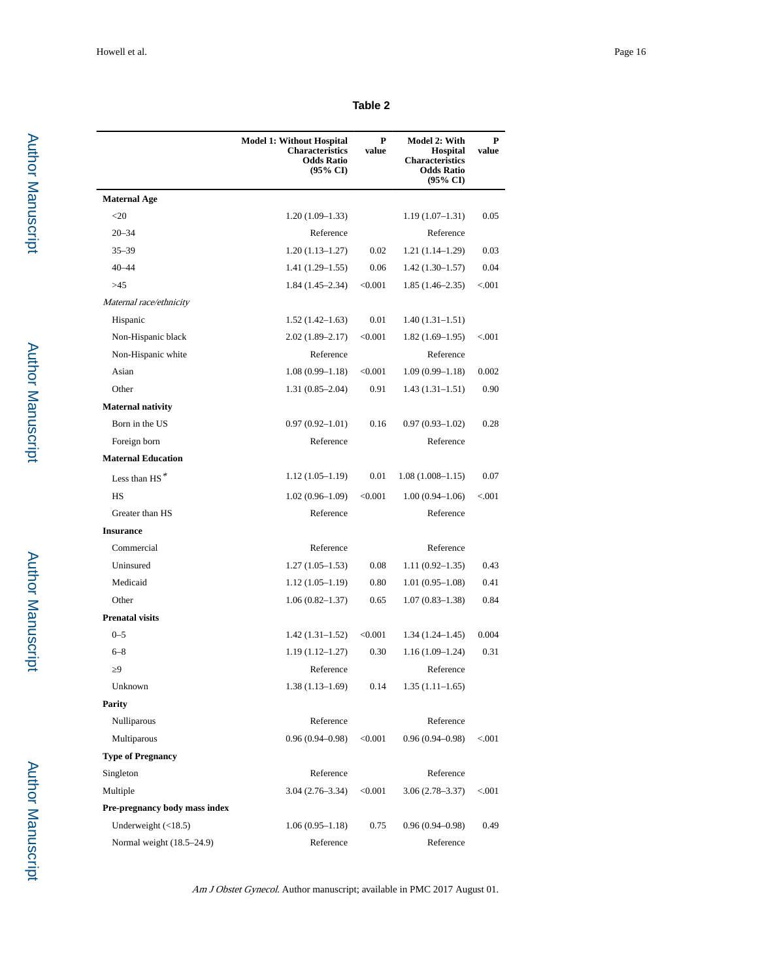#### **Table 2**

|                               | <b>Model 1: Without Hospital</b><br><b>Characteristics</b><br><b>Odds Ratio</b><br>$(95\% \text{ CI})$ | P<br>value | Model 2: With<br>Hospital<br><b>Characteristics</b><br><b>Odds Ratio</b><br>$(95\% \text{ CI})$ | P<br>value |
|-------------------------------|--------------------------------------------------------------------------------------------------------|------------|-------------------------------------------------------------------------------------------------|------------|
| <b>Maternal Age</b>           |                                                                                                        |            |                                                                                                 |            |
| $\leq$ 20                     | $1.20(1.09-1.33)$                                                                                      |            | $1.19(1.07-1.31)$                                                                               | 0.05       |
| $20 - 34$                     | Reference                                                                                              |            | Reference                                                                                       |            |
| $35 - 39$                     | $1.20(1.13 - 1.27)$                                                                                    | 0.02       | $1.21(1.14-1.29)$                                                                               | 0.03       |
| $40 - 44$                     | $1.41(1.29-1.55)$                                                                                      | 0.06       | $1.42(1.30-1.57)$                                                                               | 0.04       |
| >45                           | $1.84(1.45-2.34)$                                                                                      | < 0.001    | $1.85(1.46-2.35)$                                                                               | < 0.001    |
| Maternal race/ethnicity       |                                                                                                        |            |                                                                                                 |            |
| Hispanic                      | $1.52(1.42 - 1.63)$                                                                                    | 0.01       | $1.40(1.31-1.51)$                                                                               |            |
| Non-Hispanic black            | $2.02(1.89 - 2.17)$                                                                                    | < 0.001    | $1.82(1.69-1.95)$                                                                               | < 0.001    |
| Non-Hispanic white            | Reference                                                                                              |            | Reference                                                                                       |            |
| Asian                         | $1.08(0.99 - 1.18)$                                                                                    | < 0.001    | $1.09(0.99 - 1.18)$                                                                             | 0.002      |
| Other                         | $1.31(0.85 - 2.04)$                                                                                    | 0.91       | $1.43(1.31-1.51)$                                                                               | 0.90       |
| <b>Maternal nativity</b>      |                                                                                                        |            |                                                                                                 |            |
| Born in the US                | $0.97(0.92 - 1.01)$                                                                                    | 0.16       | $0.97(0.93 - 1.02)$                                                                             | 0.28       |
| Foreign born                  | Reference                                                                                              |            | Reference                                                                                       |            |
| <b>Maternal Education</b>     |                                                                                                        |            |                                                                                                 |            |
| Less than HS <sup>*</sup>     | $1.12(1.05-1.19)$                                                                                      | 0.01       | $1.08(1.008-1.15)$                                                                              | 0.07       |
| <b>HS</b>                     | $1.02(0.96 - 1.09)$                                                                                    | < 0.001    | $1.00(0.94 - 1.06)$                                                                             | < 0.001    |
| Greater than HS               | Reference                                                                                              |            | Reference                                                                                       |            |
| <b>Insurance</b>              |                                                                                                        |            |                                                                                                 |            |
| Commercial                    | Reference                                                                                              |            | Reference                                                                                       |            |
| Uninsured                     | $1.27(1.05-1.53)$                                                                                      | 0.08       | $1.11(0.92 - 1.35)$                                                                             | 0.43       |
| Medicaid                      | $1.12(1.05-1.19)$                                                                                      | 0.80       | $1.01(0.95-1.08)$                                                                               | 0.41       |
| Other                         | $1.06(0.82 - 1.37)$                                                                                    | 0.65       | $1.07(0.83 - 1.38)$                                                                             | 0.84       |
| <b>Prenatal visits</b>        |                                                                                                        |            |                                                                                                 |            |
| $0 - 5$                       | $1.42(1.31-1.52)$                                                                                      | < 0.001    | $1.34(1.24 - 1.45)$                                                                             | 0.004      |
| $6 - 8$                       | $1.19(1.12 - 1.27)$                                                                                    | 0.30       | $1.16(1.09-1.24)$                                                                               | 0.31       |
| 9                             | Reference                                                                                              |            | Reference                                                                                       |            |
| Unknown                       | $1.38(1.13 - 1.69)$                                                                                    | 0.14       | $1.35(1.11-1.65)$                                                                               |            |
| Parity                        |                                                                                                        |            |                                                                                                 |            |
| Nulliparous                   | Reference                                                                                              |            | Reference                                                                                       |            |
| Multiparous                   | $0.96(0.94 - 0.98)$                                                                                    | < 0.001    | $0.96(0.94 - 0.98)$                                                                             | < 0.001    |
| <b>Type of Pregnancy</b>      |                                                                                                        |            |                                                                                                 |            |
| Singleton                     | Reference                                                                                              |            | Reference                                                                                       |            |
| Multiple                      | $3.04(2.76-3.34)$                                                                                      | < 0.001    | $3.06(2.78 - 3.37)$                                                                             | < 0.001    |
| Pre-pregnancy body mass index |                                                                                                        |            |                                                                                                 |            |
| Underweight $(\langle 18.5)$  | $1.06(0.95-1.18)$                                                                                      | 0.75       | $0.96(0.94 - 0.98)$                                                                             | 0.49       |
| Normal weight $(18.5-24.9)$   | Reference                                                                                              |            | Reference                                                                                       |            |